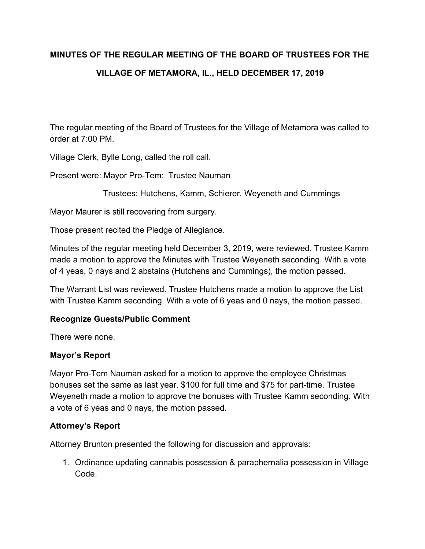# **MINUTES OF THE REGULAR MEETING OF THE BOARD OF TRUSTEES FOR THE VILLAGE OF METAMORA, IL., HELD DECEMBER 17, 2019**

The regular meeting of the Board of Trustees for the Village of Metamora was called to order at 7:00 PM.

Village Clerk, Bylle Long, called the roll call.

Present were: Mayor Pro-Tem: Trustee Nauman

Trustees: Hutchens, Kamm, Schierer, Weyeneth and Cummings

Mayor Maurer is still recovering from surgery.

Those present recited the Pledge of Allegiance.

Minutes of the regular meeting held December 3, 2019, were reviewed. Trustee Kamm made a motion to approve the Minutes with Trustee Weyeneth seconding. With a vote of 4 yeas, 0 nays and 2 abstains (Hutchens and Cummings), the motion passed.

The Warrant List was reviewed. Trustee Hutchens made a motion to approve the List with Trustee Kamm seconding. With a vote of 6 yeas and 0 nays, the motion passed.

## **Recognize Guests/Public Comment**

There were none.

#### **Mayor's Report**

Mayor Pro-Tem Nauman asked for a motion to approve the employee Christmas bonuses set the same as last year. \$100 for full time and \$75 for part-time. Trustee Weyeneth made a motion to approve the bonuses with Trustee Kamm seconding. With a vote of 6 yeas and 0 nays, the motion passed.

## **Attorney's Report**

Attorney Brunton presented the following for discussion and approvals:

1. Ordinance updating cannabis possession & paraphernalia possession in Village Code.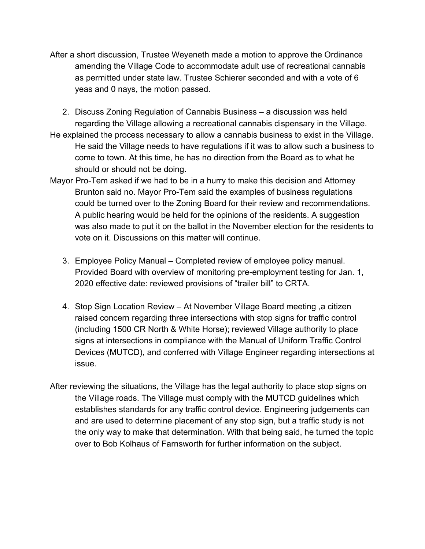- After a short discussion, Trustee Weyeneth made a motion to approve the Ordinance amending the Village Code to accommodate adult use of recreational cannabis as permitted under state law. Trustee Schierer seconded and with a vote of 6 yeas and 0 nays, the motion passed.
- 2. Discuss Zoning Regulation of Cannabis Business a discussion was held regarding the Village allowing a recreational cannabis dispensary in the Village.
- He explained the process necessary to allow a cannabis business to exist in the Village. He said the Village needs to have regulations if it was to allow such a business to come to town. At this time, he has no direction from the Board as to what he should or should not be doing.
- Mayor Pro-Tem asked if we had to be in a hurry to make this decision and Attorney Brunton said no. Mayor Pro-Tem said the examples of business regulations could be turned over to the Zoning Board for their review and recommendations. A public hearing would be held for the opinions of the residents. A suggestion was also made to put it on the ballot in the November election for the residents to vote on it. Discussions on this matter will continue.
	- 3. Employee Policy Manual Completed review of employee policy manual. Provided Board with overview of monitoring pre-employment testing for Jan. 1, 2020 effective date: reviewed provisions of "trailer bill" to CRTA.
	- 4. Stop Sign Location Review At November Village Board meeting ,a citizen raised concern regarding three intersections with stop signs for traffic control (including 1500 CR North & White Horse); reviewed Village authority to place signs at intersections in compliance with the Manual of Uniform Traffic Control Devices (MUTCD), and conferred with Village Engineer regarding intersections at issue.
- After reviewing the situations, the Village has the legal authority to place stop signs on the Village roads. The Village must comply with the MUTCD guidelines which establishes standards for any traffic control device. Engineering judgements can and are used to determine placement of any stop sign, but a traffic study is not the only way to make that determination. With that being said, he turned the topic over to Bob Kolhaus of Farnsworth for further information on the subject.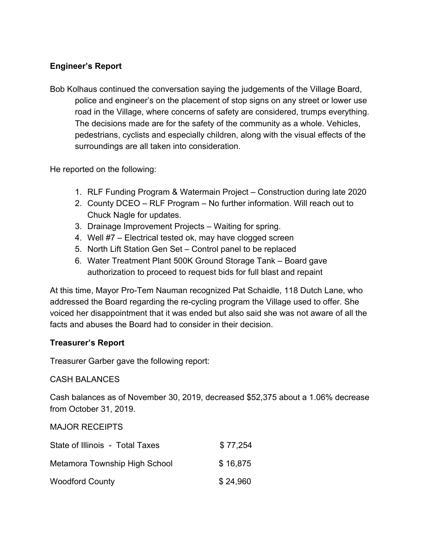## **Engineer's Report**

Bob Kolhaus continued the conversation saying the judgements of the Village Board, police and engineer's on the placement of stop signs on any street or lower use road in the Village, where concerns of safety are considered, trumps everything. The decisions made are for the safety of the community as a whole. Vehicles, pedestrians, cyclists and especially children, along with the visual effects of the surroundings are all taken into consideration.

He reported on the following:

- 1. RLF Funding Program & Watermain Project Construction during late 2020
- 2. County DCEO RLF Program No further information. Will reach out to Chuck Nagle for updates.
- 3. Drainage Improvement Projects Waiting for spring.
- 4. Well #7 Electrical tested ok, may have clogged screen
- 5. North Lift Station Gen Set Control panel to be replaced
- 6. Water Treatment Plant 500K Ground Storage Tank Board gave authorization to proceed to request bids for full blast and repaint

At this time, Mayor Pro-Tem Nauman recognized Pat Schaidle, 118 Dutch Lane, who addressed the Board regarding the re-cycling program the Village used to offer. She voiced her disappointment that it was ended but also said she was not aware of all the facts and abuses the Board had to consider in their decision.

# **Treasurer's Report**

Treasurer Garber gave the following report:

CASH BALANCES

Cash balances as of November 30, 2019, decreased \$52,375 about a 1.06% decrease from October 31, 2019.

MAJOR RECEIPTS

| State of Illinois - Total Taxes | \$77,254 |
|---------------------------------|----------|
| Metamora Township High School   | \$16,875 |
| <b>Woodford County</b>          | \$24,960 |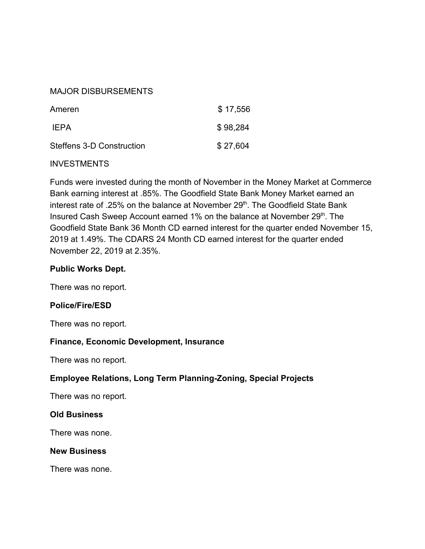#### MAJOR DISBURSEMENTS

| Ameren                    | \$17,556 |
|---------------------------|----------|
| IFPA                      | \$98,284 |
| Steffens 3-D Construction | \$27,604 |

#### **INVESTMENTS**

Funds were invested during the month of November in the Money Market at Commerce Bank earning interest at .85%. The Goodfield State Bank Money Market earned an interest rate of .25% on the balance at November 29<sup>th</sup>. The Goodfield State Bank Insured Cash Sweep Account earned 1% on the balance at November 29<sup>th</sup>. The Goodfield State Bank 36 Month CD earned interest for the quarter ended November 15, 2019 at 1.49%. The CDARS 24 Month CD earned interest for the quarter ended November 22, 2019 at 2.35%.

## **Public Works Dept.**

There was no report.

## **Police/Fire/ESD**

There was no report.

## **Finance, Economic Development, Insurance**

There was no report.

## **Employee Relations, Long Term Planning-Zoning, Special Projects**

There was no report.

#### **Old Business**

There was none.

#### **New Business**

There was none.